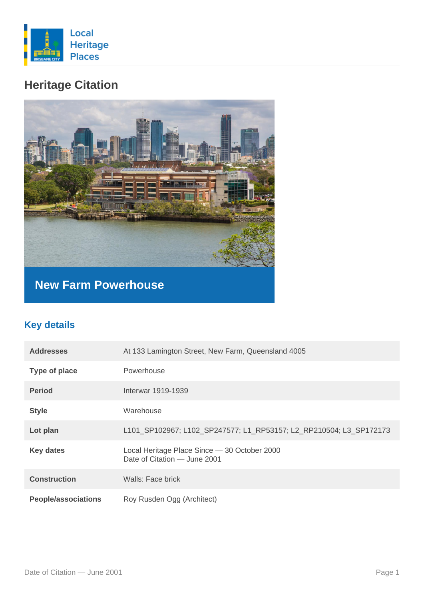

# **Heritage Citation**



**New Farm Powerhouse**

# **Key details**

| <b>Addresses</b>           | At 133 Lamington Street, New Farm, Queensland 4005                           |
|----------------------------|------------------------------------------------------------------------------|
| Type of place              | Powerhouse                                                                   |
| <b>Period</b>              | Interwar 1919-1939                                                           |
| <b>Style</b>               | Warehouse                                                                    |
| Lot plan                   | L101_SP102967; L102_SP247577; L1_RP53157; L2_RP210504; L3_SP172173           |
| <b>Key dates</b>           | Local Heritage Place Since - 30 October 2000<br>Date of Citation - June 2001 |
| <b>Construction</b>        | Walls: Face brick                                                            |
| <b>People/associations</b> | Roy Rusden Ogg (Architect)                                                   |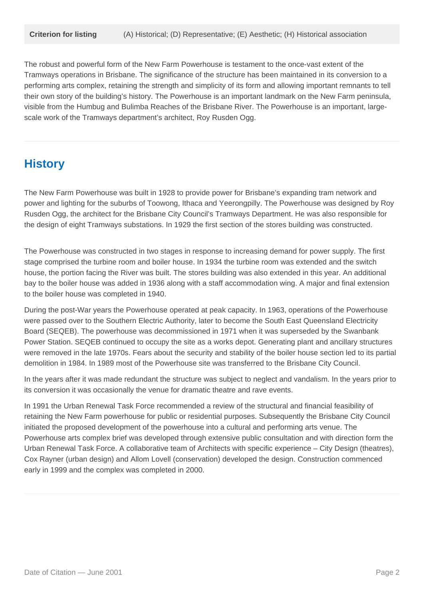The robust and powerful form of the New Farm Powerhouse is testament to the once-vast extent of the Tramways operations in Brisbane. The significance of the structure has been maintained in its conversion to a performing arts complex, retaining the strength and simplicity of its form and allowing important remnants to tell their own story of the building's history. The Powerhouse is an important landmark on the New Farm peninsula, visible from the Humbug and Bulimba Reaches of the Brisbane River. The Powerhouse is an important, largescale work of the Tramways department's architect, Roy Rusden Ogg.

## **History**

The New Farm Powerhouse was built in 1928 to provide power for Brisbane's expanding tram network and power and lighting for the suburbs of Toowong, Ithaca and Yeerongpilly. The Powerhouse was designed by Roy Rusden Ogg, the architect for the Brisbane City Council's Tramways Department. He was also responsible for the design of eight Tramways substations. In 1929 the first section of the stores building was constructed.

The Powerhouse was constructed in two stages in response to increasing demand for power supply. The first stage comprised the turbine room and boiler house. In 1934 the turbine room was extended and the switch house, the portion facing the River was built. The stores building was also extended in this year. An additional bay to the boiler house was added in 1936 along with a staff accommodation wing. A major and final extension to the boiler house was completed in 1940.

During the post-War years the Powerhouse operated at peak capacity. In 1963, operations of the Powerhouse were passed over to the Southern Electric Authority, later to become the South East Queensland Electricity Board (SEQEB). The powerhouse was decommissioned in 1971 when it was superseded by the Swanbank Power Station. SEQEB continued to occupy the site as a works depot. Generating plant and ancillary structures were removed in the late 1970s. Fears about the security and stability of the boiler house section led to its partial demolition in 1984. In 1989 most of the Powerhouse site was transferred to the Brisbane City Council.

In the years after it was made redundant the structure was subject to neglect and vandalism. In the years prior to its conversion it was occasionally the venue for dramatic theatre and rave events.

In 1991 the Urban Renewal Task Force recommended a review of the structural and financial feasibility of retaining the New Farm powerhouse for public or residential purposes. Subsequently the Brisbane City Council initiated the proposed development of the powerhouse into a cultural and performing arts venue. The Powerhouse arts complex brief was developed through extensive public consultation and with direction form the Urban Renewal Task Force. A collaborative team of Architects with specific experience – City Design (theatres), Cox Rayner (urban design) and Allom Lovell (conservation) developed the design. Construction commenced early in 1999 and the complex was completed in 2000.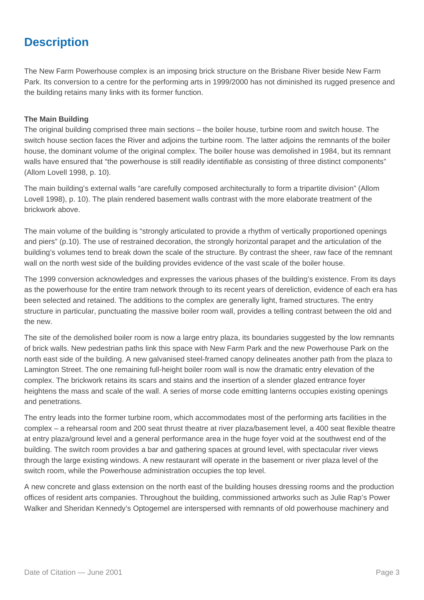# **Description**

The New Farm Powerhouse complex is an imposing brick structure on the Brisbane River beside New Farm Park. Its conversion to a centre for the performing arts in 1999/2000 has not diminished its rugged presence and the building retains many links with its former function.

#### **The Main Building**

The original building comprised three main sections – the boiler house, turbine room and switch house. The switch house section faces the River and adjoins the turbine room. The latter adjoins the remnants of the boiler house, the dominant volume of the original complex. The boiler house was demolished in 1984, but its remnant walls have ensured that "the powerhouse is still readily identifiable as consisting of three distinct components" (Allom Lovell 1998, p. 10).

The main building's external walls "are carefully composed architecturally to form a tripartite division" (Allom Lovell 1998), p. 10). The plain rendered basement walls contrast with the more elaborate treatment of the brickwork above.

The main volume of the building is "strongly articulated to provide a rhythm of vertically proportioned openings and piers" (p.10). The use of restrained decoration, the strongly horizontal parapet and the articulation of the building's volumes tend to break down the scale of the structure. By contrast the sheer, raw face of the remnant wall on the north west side of the building provides evidence of the vast scale of the boiler house.

The 1999 conversion acknowledges and expresses the various phases of the building's existence. From its days as the powerhouse for the entire tram network through to its recent years of dereliction, evidence of each era has been selected and retained. The additions to the complex are generally light, framed structures. The entry structure in particular, punctuating the massive boiler room wall, provides a telling contrast between the old and the new.

The site of the demolished boiler room is now a large entry plaza, its boundaries suggested by the low remnants of brick walls. New pedestrian paths link this space with New Farm Park and the new Powerhouse Park on the north east side of the building. A new galvanised steel-framed canopy delineates another path from the plaza to Lamington Street. The one remaining full-height boiler room wall is now the dramatic entry elevation of the complex. The brickwork retains its scars and stains and the insertion of a slender glazed entrance foyer heightens the mass and scale of the wall. A series of morse code emitting lanterns occupies existing openings and penetrations.

The entry leads into the former turbine room, which accommodates most of the performing arts facilities in the complex – a rehearsal room and 200 seat thrust theatre at river plaza/basement level, a 400 seat flexible theatre at entry plaza/ground level and a general performance area in the huge foyer void at the southwest end of the building. The switch room provides a bar and gathering spaces at ground level, with spectacular river views through the large existing windows. A new restaurant will operate in the basement or river plaza level of the switch room, while the Powerhouse administration occupies the top level.

A new concrete and glass extension on the north east of the building houses dressing rooms and the production offices of resident arts companies. Throughout the building, commissioned artworks such as Julie Rap's Power Walker and Sheridan Kennedy's Optogemel are interspersed with remnants of old powerhouse machinery and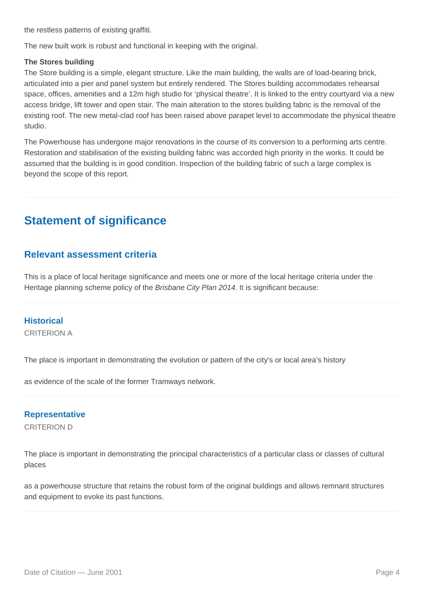the restless patterns of existing graffiti.

The new built work is robust and functional in keeping with the original.

#### **The Stores building**

The Store building is a simple, elegant structure. Like the main building, the walls are of load-bearing brick, articulated into a pier and panel system but entirely rendered. The Stores building accommodates rehearsal space, offices, amenities and a 12m high studio for 'physical theatre'. It is linked to the entry courtyard via a new access bridge, lift tower and open stair. The main alteration to the stores building fabric is the removal of the existing roof. The new metal-clad roof has been raised above parapet level to accommodate the physical theatre studio.

The Powerhouse has undergone major renovations in the course of its conversion to a performing arts centre. Restoration and stabilisation of the existing building fabric was accorded high priority in the works. It could be assumed that the building is in good condition. Inspection of the building fabric of such a large complex is beyond the scope of this report.

# **Statement of significance**

### **Relevant assessment criteria**

This is a place of local heritage significance and meets one or more of the local heritage criteria under the Heritage planning scheme policy of the *Brisbane City Plan 2014*. It is significant because:

### **Historical**

CRITERION A

The place is important in demonstrating the evolution or pattern of the city's or local area's history

as evidence of the scale of the former Tramways network.

### **Representative**

CRITERION D

The place is important in demonstrating the principal characteristics of a particular class or classes of cultural places

as a powerhouse structure that retains the robust form of the original buildings and allows remnant structures and equipment to evoke its past functions.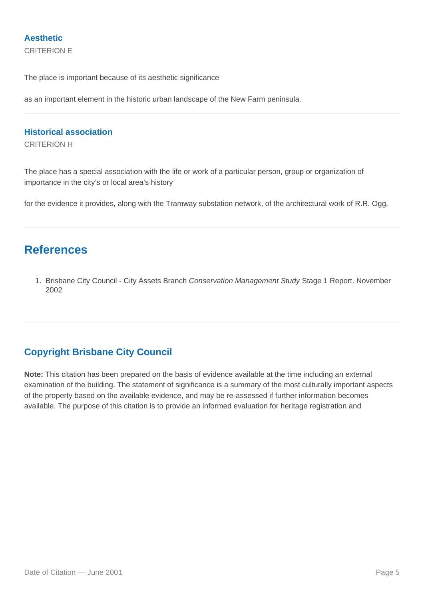### **Aesthetic**

CRITERION E

The place is important because of its aesthetic significance

as an important element in the historic urban landscape of the New Farm peninsula.

### **Historical association**

CRITERION H

The place has a special association with the life or work of a particular person, group or organization of importance in the city's or local area's history

for the evidence it provides, along with the Tramway substation network, of the architectural work of R.R. Ogg.

# **References**

1. Brisbane City Council - City Assets Branch Conservation Management Study Stage 1 Report. November 2002

### **Copyright Brisbane City Council**

**Note:** This citation has been prepared on the basis of evidence available at the time including an external examination of the building. The statement of significance is a summary of the most culturally important aspects of the property based on the available evidence, and may be re-assessed if further information becomes available. The purpose of this citation is to provide an informed evaluation for heritage registration and